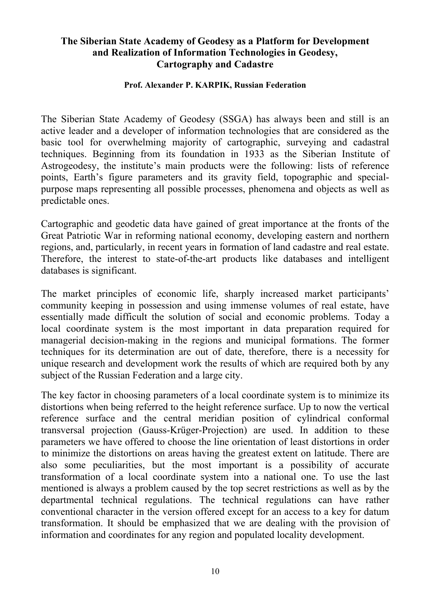## **The Siberian State Academy of Geodesy as a Platform for Development and Realization of Information Technologies in Geodesy, Cartography and Cadastre**

## **Prof. Alexander P. KARPIK, Russian Federation**

The Siberian State Academy of Geodesy (SSGA) has always been and still is an active leader and a developer of information technologies that are considered as the basic tool for overwhelming majority of cartographic, surveying and cadastral techniques. Beginning from its foundation in 1933 as the Siberian Institute of Astrogeodesy, the institute's main products were the following: lists of reference points, Earth's figure parameters and its gravity field, topographic and specialpurpose maps representing all possible processes, phenomena and objects as well as predictable ones.

Cartographic and geodetic data have gained of great importance at the fronts of the Great Patriotic War in reforming national economy, developing eastern and northern regions, and, particularly, in recent years in formation of land cadastre and real estate. Therefore, the interest to state-of-the-art products like databases and intelligent databases is significant.

The market principles of economic life, sharply increased market participants' community keeping in possession and using immense volumes of real estate, have essentially made difficult the solution of social and economic problems. Today a local coordinate system is the most important in data preparation required for managerial decision-making in the regions and municipal formations. The former techniques for its determination are out of date, therefore, there is a necessity for unique research and development work the results of which are required both by any subject of the Russian Federation and a large city.

The key factor in choosing parameters of a local coordinate system is to minimize its distortions when being referred to the height reference surface. Up to now the vertical reference surface and the central meridian position of cylindrical conformal transversal projection (Gauss-Krüger-Projection) are used. In addition to these parameters we have offered to choose the line orientation of least distortions in order to minimize the distortions on areas having the greatest extent on latitude. There are also some peculiarities, but the most important is a possibility of accurate transformation of a local coordinate system into a national one. To use the last mentioned is always a problem caused by the top secret restrictions as well as by the departmental technical regulations. The technical regulations can have rather conventional character in the version offered except for an access to a key for datum transformation. It should be emphasized that we are dealing with the provision of information and coordinates for any region and populated locality development.